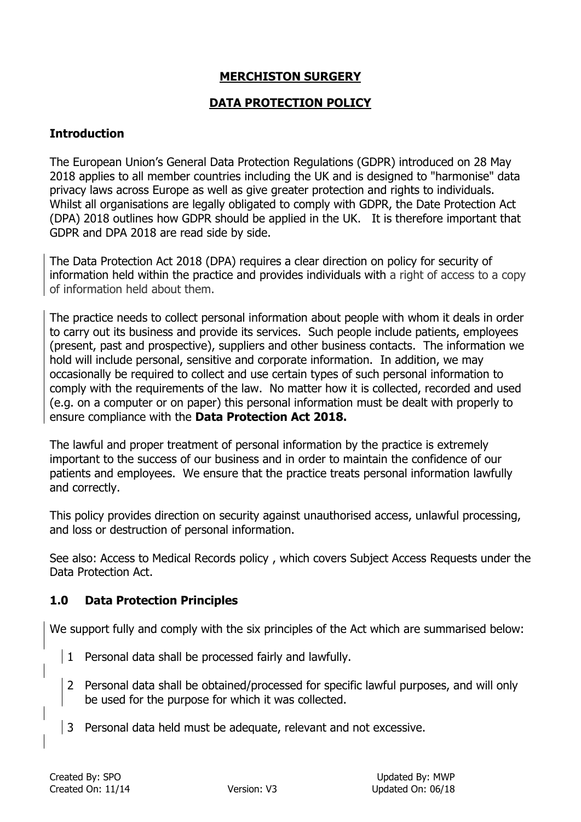# **MERCHISTON SURGERY**

## **DATA PROTECTION POLICY**

#### **Introduction**

The European Union's General Data Protection Regulations (GDPR) introduced on 28 May 2018 applies to all member countries including the UK and is designed to "harmonise" data privacy laws across Europe as well as give greater protection and rights to individuals. Whilst all organisations are legally obligated to comply with GDPR, the Date Protection Act (DPA) 2018 outlines how GDPR should be applied in the UK. It is therefore important that GDPR and DPA 2018 are read side by side.

The Data Protection Act 2018 (DPA) requires a clear direction on policy for security of information held within the practice and provides individuals with a right of access to a copy of information held about them.

The practice needs to collect personal information about people with whom it deals in order to carry out its business and provide its services. Such people include patients, employees (present, past and prospective), suppliers and other business contacts. The information we hold will include personal, sensitive and corporate information. In addition, we may occasionally be required to collect and use certain types of such personal information to comply with the requirements of the law. No matter how it is collected, recorded and used (e.g. on a computer or on paper) this personal information must be dealt with properly to ensure compliance with the **Data Protection Act 2018.**

The lawful and proper treatment of personal information by the practice is extremely important to the success of our business and in order to maintain the confidence of our patients and employees. We ensure that the practice treats personal information lawfully and correctly.

This policy provides direction on security against unauthorised access, unlawful processing, and loss or destruction of personal information.

See also: Access to Medical Records policy , which covers Subject Access Requests under the Data Protection Act.

### **1.0 Data Protection Principles**

We support fully and comply with the six principles of the Act which are summarised below:

- 1 Personal data shall be processed fairly and lawfully.
	- 2 Personal data shall be obtained/processed for specific lawful purposes, and will only be used for the purpose for which it was collected.
- 3 Personal data held must be adequate, relevant and not excessive.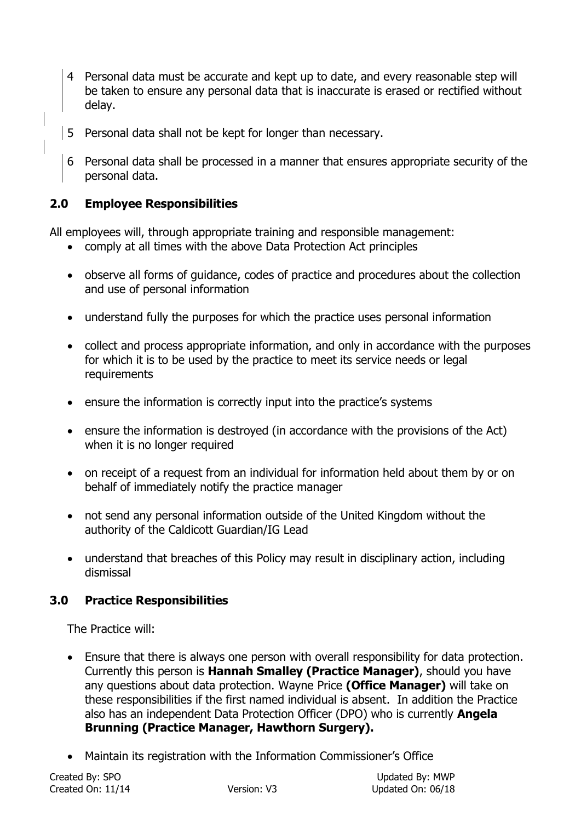- 4 Personal data must be accurate and kept up to date, and every reasonable step will be taken to ensure any personal data that is inaccurate is erased or rectified without delay.
- 5 Personal data shall not be kept for longer than necessary.
- 6 Personal data shall be processed in a manner that ensures appropriate security of the personal data.

# **2.0 Employee Responsibilities**

All employees will, through appropriate training and responsible management:

- comply at all times with the above Data Protection Act principles
- observe all forms of guidance, codes of practice and procedures about the collection and use of personal information
- understand fully the purposes for which the practice uses personal information
- collect and process appropriate information, and only in accordance with the purposes for which it is to be used by the practice to meet its service needs or legal requirements
- ensure the information is correctly input into the practice's systems
- ensure the information is destroyed (in accordance with the provisions of the Act) when it is no longer required
- on receipt of a request from an individual for information held about them by or on behalf of immediately notify the practice manager
- not send any personal information outside of the United Kingdom without the authority of the Caldicott Guardian/IG Lead
- understand that breaches of this Policy may result in disciplinary action, including dismissal

# **3.0 Practice Responsibilities**

The Practice will:

- Ensure that there is always one person with overall responsibility for data protection. Currently this person is **Hannah Smalley (Practice Manager)**, should you have any questions about data protection. Wayne Price **(Office Manager)** will take on these responsibilities if the first named individual is absent. In addition the Practice also has an independent Data Protection Officer (DPO) who is currently **Angela Brunning (Practice Manager, Hawthorn Surgery).**
- Maintain its registration with the Information Commissioner's Office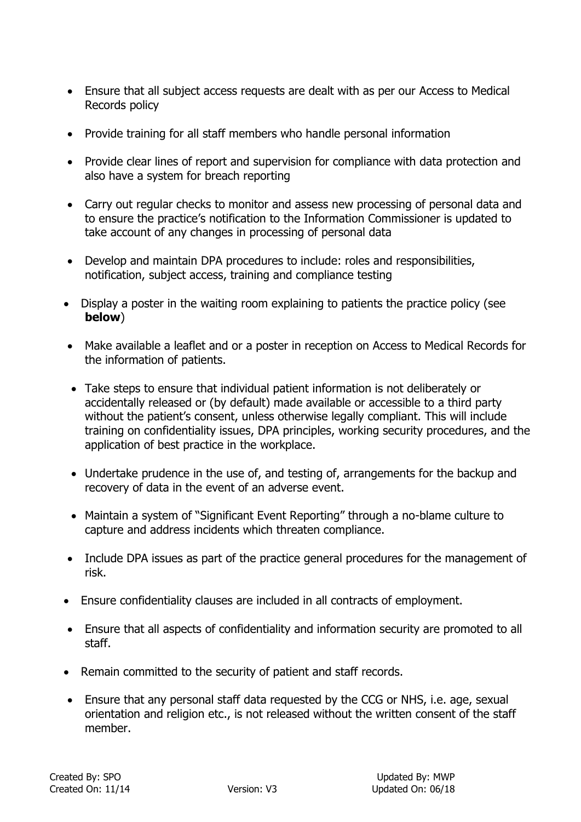- Ensure that all subject access requests are dealt with as per our Access to Medical Records policy
- Provide training for all staff members who handle personal information
- Provide clear lines of report and supervision for compliance with data protection and also have a system for breach reporting
- Carry out regular checks to monitor and assess new processing of personal data and to ensure the practice's notification to the Information Commissioner is updated to take account of any changes in processing of personal data
- Develop and maintain DPA procedures to include: roles and responsibilities, notification, subject access, training and compliance testing
- Display a poster in the waiting room explaining to patients the practice policy (see **below**)
- Make available a leaflet and or a poster in reception on Access to Medical Records for the information of patients.
- Take steps to ensure that individual patient information is not deliberately or accidentally released or (by default) made available or accessible to a third party without the patient's consent, unless otherwise legally compliant. This will include training on confidentiality issues, DPA principles, working security procedures, and the application of best practice in the workplace.
- Undertake prudence in the use of, and testing of, arrangements for the backup and recovery of data in the event of an adverse event.
- Maintain a system of "Significant Event Reporting" through a no-blame culture to capture and address incidents which threaten compliance.
- Include DPA issues as part of the practice general procedures for the management of risk.
- Ensure confidentiality clauses are included in all contracts of employment.
- Ensure that all aspects of confidentiality and information security are promoted to all staff.
- Remain committed to the security of patient and staff records.
- Ensure that any personal staff data requested by the CCG or NHS, i.e. age, sexual orientation and religion etc., is not released without the written consent of the staff member.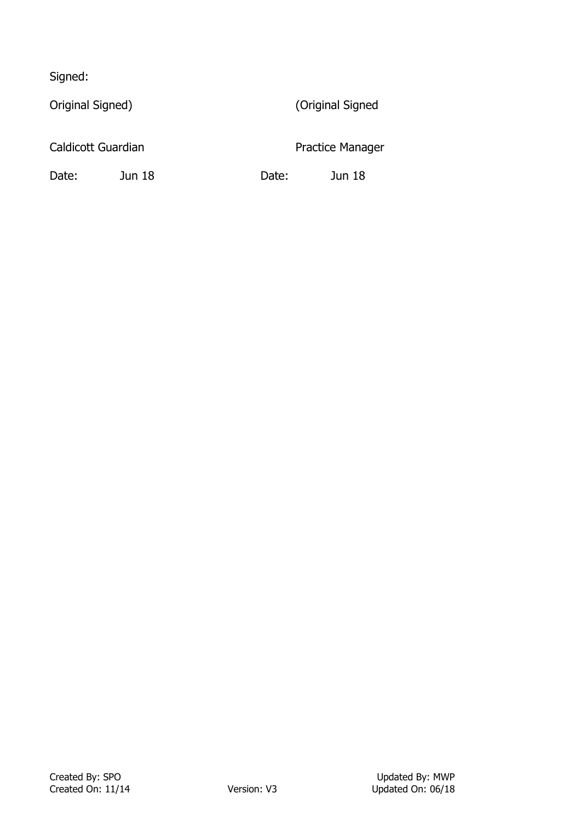Signed:

Original Signed) (Original Signed

Caldicott Guardian **Practice Manager** Practice Manager

Date: Jun 18 Date: Jun 18